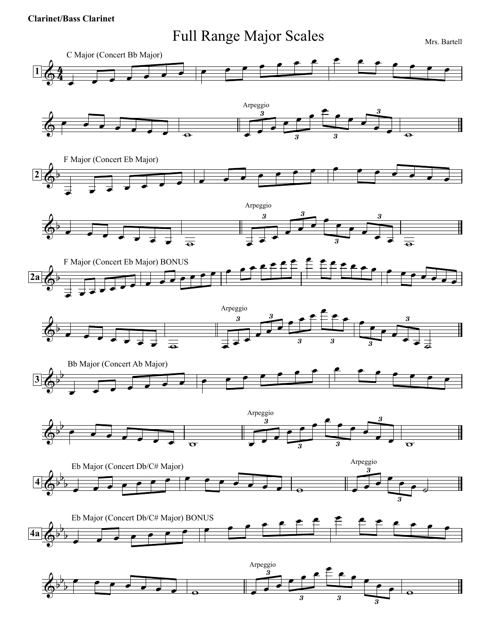## **Clarinet/Bass Clarinet**

## Full Range Major Scales Mrs. Bartell

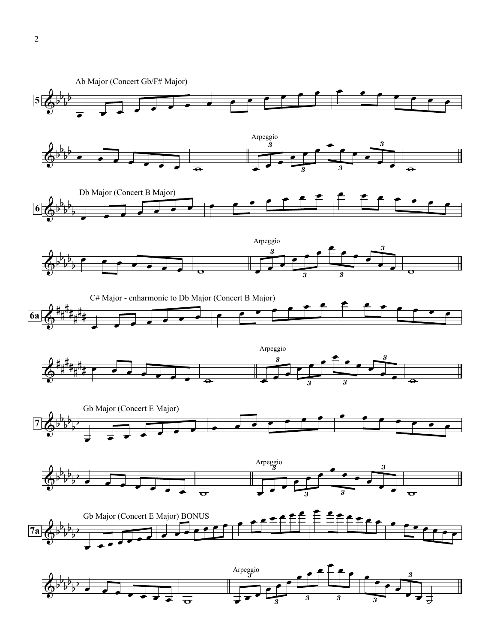

2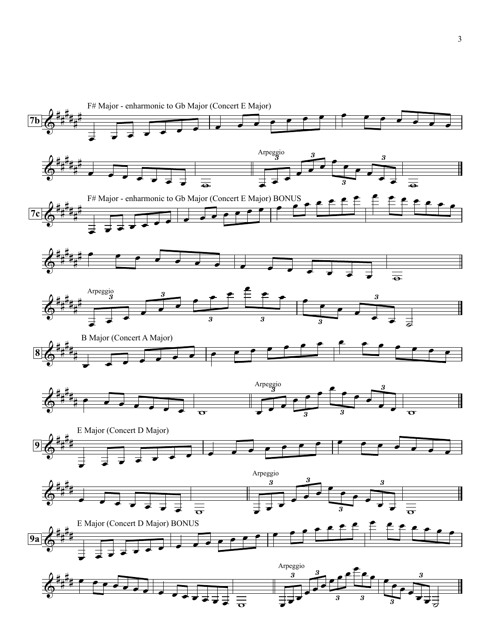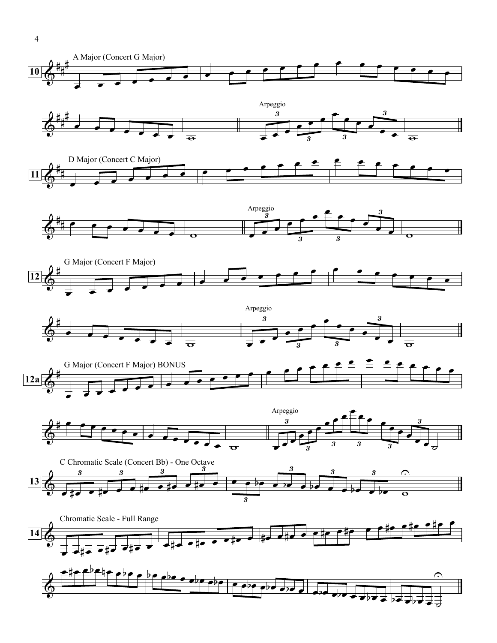